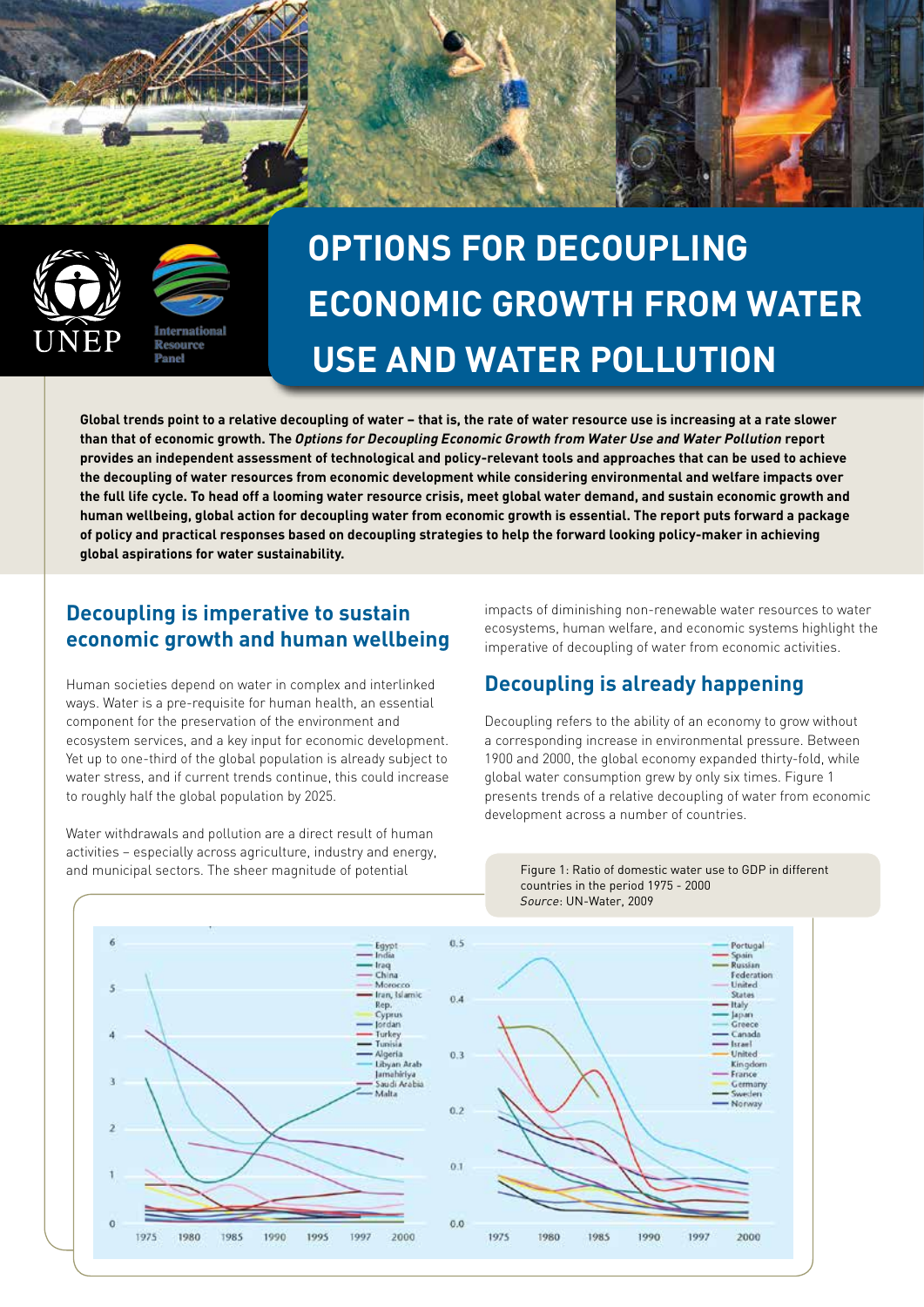



# **OPTIONS FOR DECOUPLING ECONOMIC GROWTH FROM WATER USE AND WATER POLLUTION**

**Global trends point to a relative decoupling of water – that is, the rate of water resource use is increasing at a rate slower than that of economic growth. The** *Options for Decoupling Economic Growth from Water Use and Water Pollution* **report provides an independent assessment of technological and policy-relevant tools and approaches that can be used to achieve the decoupling of water resources from economic development while considering environmental and welfare impacts over the full life cycle. To head off a looming water resource crisis, meet global water demand, and sustain economic growth and human wellbeing, global action for decoupling water from economic growth is essential. The report puts forward a package of policy and practical responses based on decoupling strategies to help the forward looking policy-maker in achieving global aspirations for water sustainability.**

#### **Decoupling is imperative to sustain economic growth and human wellbeing**

Human societies depend on water in complex and interlinked ways. Water is a pre-requisite for human health, an essential component for the preservation of the environment and ecosystem services, and a key input for economic development. Yet up to one-third of the global population is already subject to water stress, and if current trends continue, this could increase to roughly half the global population by 2025.

Water withdrawals and pollution are a direct result of human activities – especially across agriculture, industry and energy, and municipal sectors. The sheer magnitude of potential

impacts of diminishing non-renewable water resources to water ecosystems, human welfare, and economic systems highlight the imperative of decoupling of water from economic activities.

## **Decoupling is already happening**

Decoupling refers to the ability of an economy to grow without a corresponding increase in environmental pressure. Between 1900 and 2000, the global economy expanded thirty-fold, while global water consumption grew by only six times. Figure 1 presents trends of a relative decoupling of water from economic development across a number of countries.



Figure 1: Ratio of domestic water use to GDP in different countries in the period 1975 - 2000